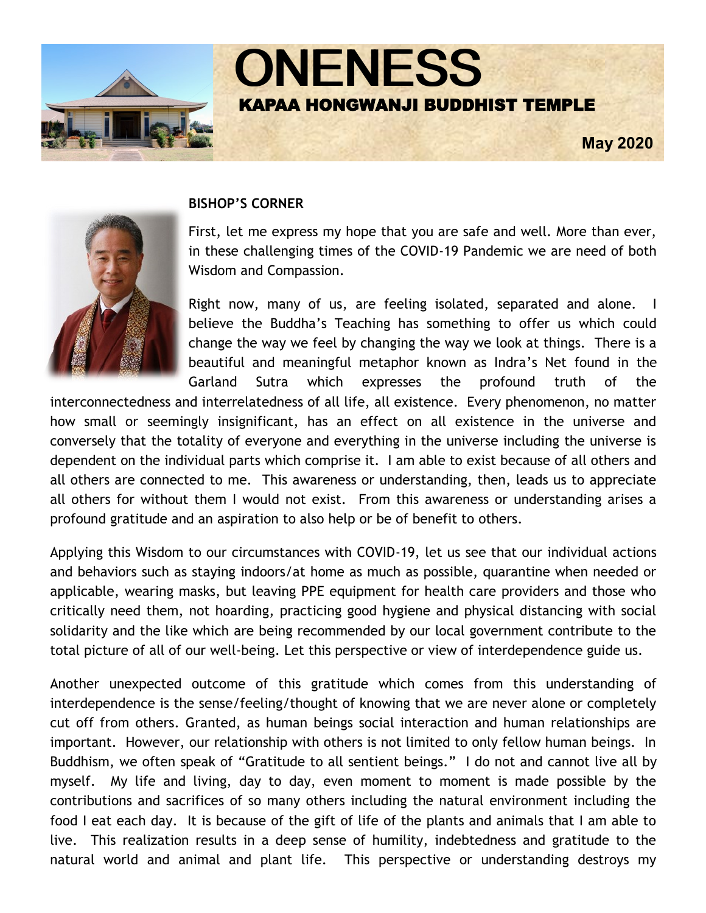

## **BISHOP'S CORNER**

First, let me express my hope that you are safe and well. More than ever, in these challenging times of the COVID-19 Pandemic we are need of both Wisdom and Compassion.

Right now, many of us, are feeling isolated, separated and alone. I believe the Buddha's Teaching has something to offer us which could change the way we feel by changing the way we look at things. There is a beautiful and meaningful metaphor known as Indra's Net found in the Garland Sutra which expresses the profound truth of the

interconnectedness and interrelatedness of all life, all existence. Every phenomenon, no matter how small or seemingly insignificant, has an effect on all existence in the universe and conversely that the totality of everyone and everything in the universe including the universe is dependent on the individual parts which comprise it. I am able to exist because of all others and all others are connected to me. This awareness or understanding, then, leads us to appreciate all others for without them I would not exist. From this awareness or understanding arises a profound gratitude and an aspiration to also help or be of benefit to others.

Applying this Wisdom to our circumstances with COVID-19, let us see that our individual actions and behaviors such as staying indoors/at home as much as possible, quarantine when needed or applicable, wearing masks, but leaving PPE equipment for health care providers and those who critically need them, not hoarding, practicing good hygiene and physical distancing with social solidarity and the like which are being recommended by our local government contribute to the total picture of all of our well-being. Let this perspective or view of interdependence guide us.

Another unexpected outcome of this gratitude which comes from this understanding of interdependence is the sense/feeling/thought of knowing that we are never alone or completely cut off from others. Granted, as human beings social interaction and human relationships are important. However, our relationship with others is not limited to only fellow human beings. In Buddhism, we often speak of "Gratitude to all sentient beings." I do not and cannot live all by myself. My life and living, day to day, even moment to moment is made possible by the contributions and sacrifices of so many others including the natural environment including the food I eat each day. It is because of the gift of life of the plants and animals that I am able to live. This realization results in a deep sense of humility, indebtedness and gratitude to the natural world and animal and plant life. This perspective or understanding destroys my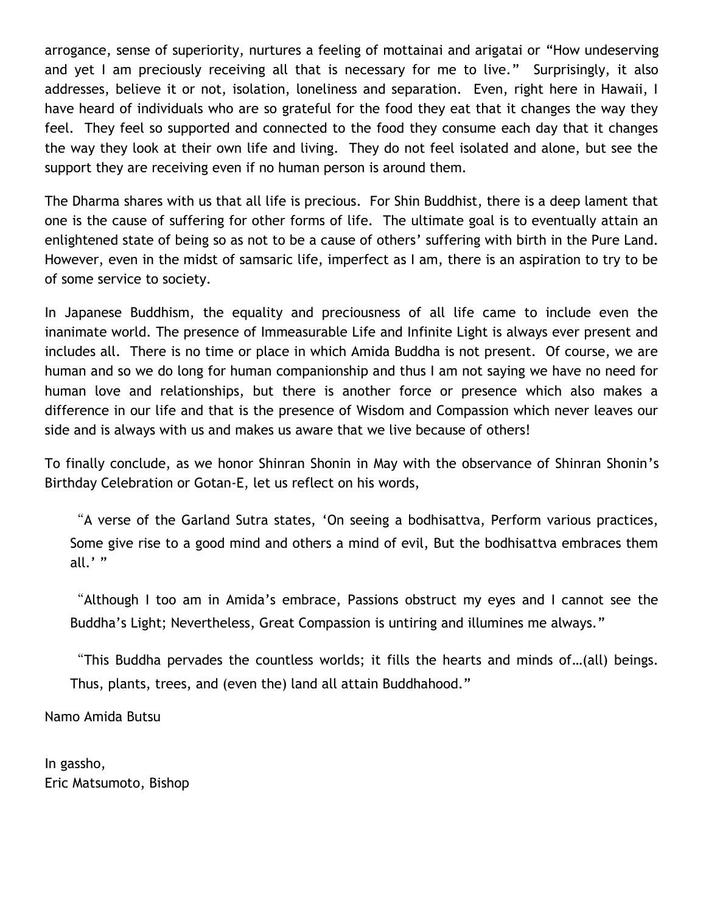arrogance, sense of superiority, nurtures a feeling of mottainai and arigatai or "How undeserving and yet I am preciously receiving all that is necessary for me to live." Surprisingly, it also addresses, believe it or not, isolation, loneliness and separation. Even, right here in Hawaii, I have heard of individuals who are so grateful for the food they eat that it changes the way they feel. They feel so supported and connected to the food they consume each day that it changes the way they look at their own life and living. They do not feel isolated and alone, but see the support they are receiving even if no human person is around them.

The Dharma shares with us that all life is precious. For Shin Buddhist, there is a deep lament that one is the cause of suffering for other forms of life. The ultimate goal is to eventually attain an enlightened state of being so as not to be a cause of others' suffering with birth in the Pure Land. However, even in the midst of samsaric life, imperfect as I am, there is an aspiration to try to be of some service to society.

In Japanese Buddhism, the equality and preciousness of all life came to include even the inanimate world. The presence of Immeasurable Life and Infinite Light is always ever present and includes all. There is no time or place in which Amida Buddha is not present. Of course, we are human and so we do long for human companionship and thus I am not saying we have no need for human love and relationships, but there is another force or presence which also makes a difference in our life and that is the presence of Wisdom and Compassion which never leaves our side and is always with us and makes us aware that we live because of others!

To finally conclude, as we honor Shinran Shonin in May with the observance of Shinran Shonin's Birthday Celebration or Gotan-E, let us reflect on his words,

"A verse of the Garland Sutra states, 'On seeing a bodhisattva, Perform various practices, Some give rise to a good mind and others a mind of evil, But the bodhisattva embraces them all.' "

"Although I too am in Amida's embrace, Passions obstruct my eyes and I cannot see the Buddha's Light; Nevertheless, Great Compassion is untiring and illumines me always."

"This Buddha pervades the countless worlds; it fills the hearts and minds of…(all) beings. Thus, plants, trees, and (even the) land all attain Buddhahood."

Namo Amida Butsu

In gassho, Eric Matsumoto, Bishop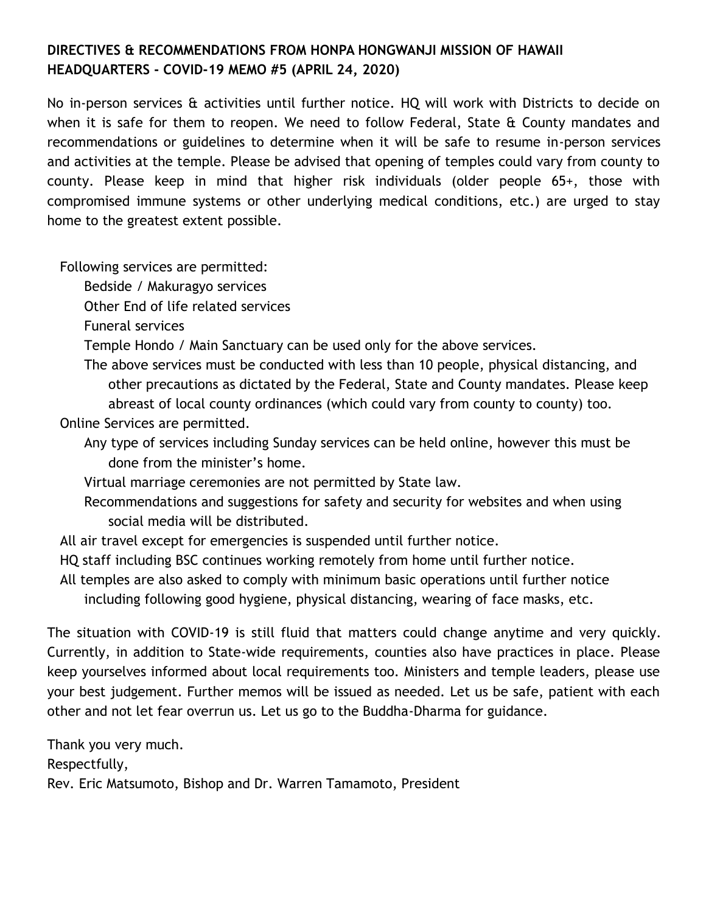# **DIRECTIVES & RECOMMENDATIONS FROM HONPA HONGWANJI MISSION OF HAWAII HEADQUARTERS - COVID-19 MEMO #5 (APRIL 24, 2020)**

No in-person services & activities until further notice. HQ will work with Districts to decide on when it is safe for them to reopen. We need to follow Federal, State & County mandates and recommendations or guidelines to determine when it will be safe to resume in-person services and activities at the temple. Please be advised that opening of temples could vary from county to county. Please keep in mind that higher risk individuals (older people 65+, those with compromised immune systems or other underlying medical conditions, etc.) are urged to stay home to the greatest extent possible.

Following services are permitted:

Bedside / Makuragyo services

Other End of life related services

Funeral services

Temple Hondo / Main Sanctuary can be used only for the above services.

The above services must be conducted with less than 10 people, physical distancing, and other precautions as dictated by the Federal, State and County mandates. Please keep abreast of local county ordinances (which could vary from county to county) too.

Online Services are permitted.

- Any type of services including Sunday services can be held online, however this must be done from the minister's home.
- Virtual marriage ceremonies are not permitted by State law.
- Recommendations and suggestions for safety and security for websites and when using social media will be distributed.
- All air travel except for emergencies is suspended until further notice.
- HQ staff including BSC continues working remotely from home until further notice.

All temples are also asked to comply with minimum basic operations until further notice including following good hygiene, physical distancing, wearing of face masks, etc.

The situation with COVID-19 is still fluid that matters could change anytime and very quickly. Currently, in addition to State-wide requirements, counties also have practices in place. Please keep yourselves informed about local requirements too. Ministers and temple leaders, please use your best judgement. Further memos will be issued as needed. Let us be safe, patient with each other and not let fear overrun us. Let us go to the Buddha-Dharma for guidance.

Thank you very much. Respectfully, Rev. Eric Matsumoto, Bishop and Dr. Warren Tamamoto, President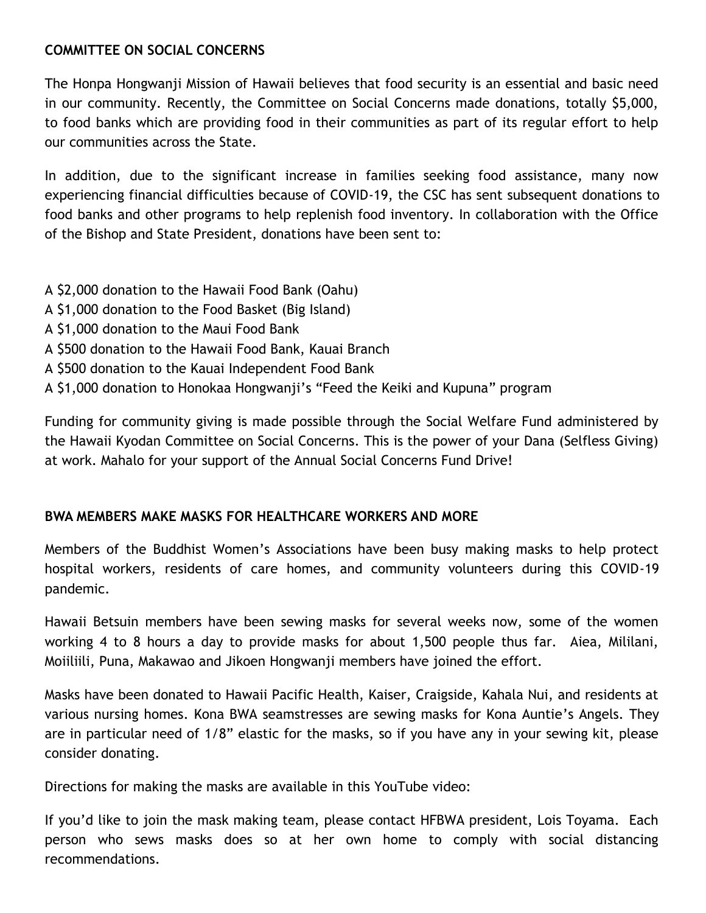## **COMMITTEE ON SOCIAL CONCERNS**

The Honpa Hongwanji Mission of Hawaii believes that food security is an essential and basic need in our community. Recently, the Committee on Social Concerns made donations, totally \$5,000, to food banks which are providing food in their communities as part of its regular effort to help our communities across the State.

In addition, due to the significant increase in families seeking food assistance, many now experiencing financial difficulties because of COVID-19, the CSC has sent subsequent donations to food banks and other programs to help replenish food inventory. In collaboration with the Office of the Bishop and State President, donations have been sent to:

- A \$2,000 donation to the Hawaii Food Bank (Oahu)
- A \$1,000 donation to the Food Basket (Big Island)
- A \$1,000 donation to the Maui Food Bank
- A \$500 donation to the Hawaii Food Bank, Kauai Branch
- A \$500 donation to the Kauai Independent Food Bank
- A \$1,000 donation to Honokaa Hongwanji's "Feed the Keiki and Kupuna" program

Funding for community giving is made possible through the Social Welfare Fund administered by the Hawaii Kyodan Committee on Social Concerns. This is the power of your Dana (Selfless Giving) at work. Mahalo for your support of the Annual Social Concerns Fund Drive!

## **BWA MEMBERS MAKE MASKS FOR HEALTHCARE WORKERS AND MORE**

Members of the Buddhist Women's Associations have been busy making masks to help protect hospital workers, residents of care homes, and community volunteers during this COVID-19 pandemic.

Hawaii Betsuin members have been sewing masks for several weeks now, some of the women working 4 to 8 hours a day to provide masks for about 1,500 people thus far. Aiea, Mililani, Moiiliili, Puna, Makawao and Jikoen Hongwanji members have joined the effort.

Masks have been donated to Hawaii Pacific Health, Kaiser, Craigside, Kahala Nui, and residents at various nursing homes. Kona BWA seamstresses are sewing masks for Kona Auntie's Angels. They are in particular need of 1/8" elastic for the masks, so if you have any in your sewing kit, please consider donating.

Directions for making the masks are available in this YouTube video:

If you'd like to join the mask making team, please contact HFBWA president, Lois Toyama. Each person who sews masks does so at her own home to comply with social distancing recommendations.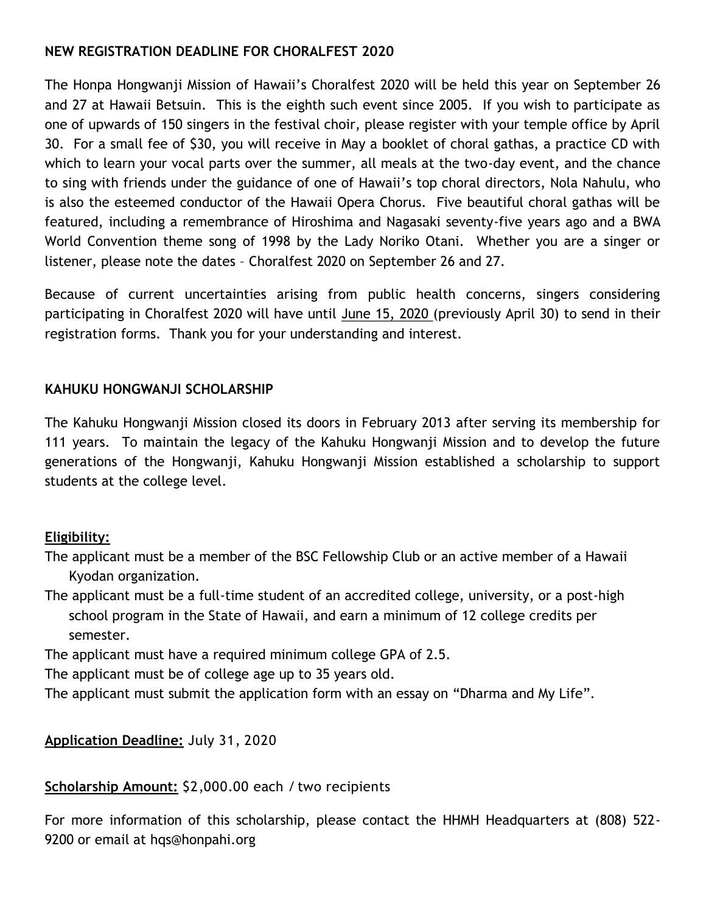## **NEW REGISTRATION DEADLINE FOR CHORALFEST 2020**

The Honpa Hongwanji Mission of Hawaii's Choralfest 2020 will be held this year on September 26 and 27 at Hawaii Betsuin. This is the eighth such event since 2005. If you wish to participate as one of upwards of 150 singers in the festival choir, please register with your temple office by April 30. For a small fee of \$30, you will receive in May a booklet of choral gathas, a practice CD with which to learn your vocal parts over the summer, all meals at the two-day event, and the chance to sing with friends under the guidance of one of Hawaii's top choral directors, Nola Nahulu, who is also the esteemed conductor of the Hawaii Opera Chorus. Five beautiful choral gathas will be featured, including a remembrance of Hiroshima and Nagasaki seventy-five years ago and a BWA World Convention theme song of 1998 by the Lady Noriko Otani. Whether you are a singer or listener, please note the dates – Choralfest 2020 on September 26 and 27.

Because of current uncertainties arising from public health concerns, singers considering participating in Choralfest 2020 will have until June 15, 2020 (previously April 30) to send in their registration forms. Thank you for your understanding and interest.

# **KAHUKU HONGWANJI SCHOLARSHIP**

The Kahuku Hongwanji Mission closed its doors in February 2013 after serving its membership for 111 years. To maintain the legacy of the Kahuku Hongwanji Mission and to develop the future generations of the Hongwanji, Kahuku Hongwanji Mission established a scholarship to support students at the college level.

# **Eligibility:**

- The applicant must be a member of the BSC Fellowship Club or an active member of a Hawaii Kyodan organization.
- The applicant must be a full-time student of an accredited college, university, or a post-high school program in the State of Hawaii, and earn a minimum of 12 college credits per semester.

The applicant must have a required minimum college GPA of 2.5.

The applicant must be of college age up to 35 years old.

The applicant must submit the application form with an essay on "Dharma and My Life".

# **Application Deadline:** July 31, 2020

## **Scholarship Amount:** \$2,000.00 each / two recipients

For more information of this scholarship, please contact the HHMH Headquarters at (808) 522- 9200 or email at hqs@honpahi.org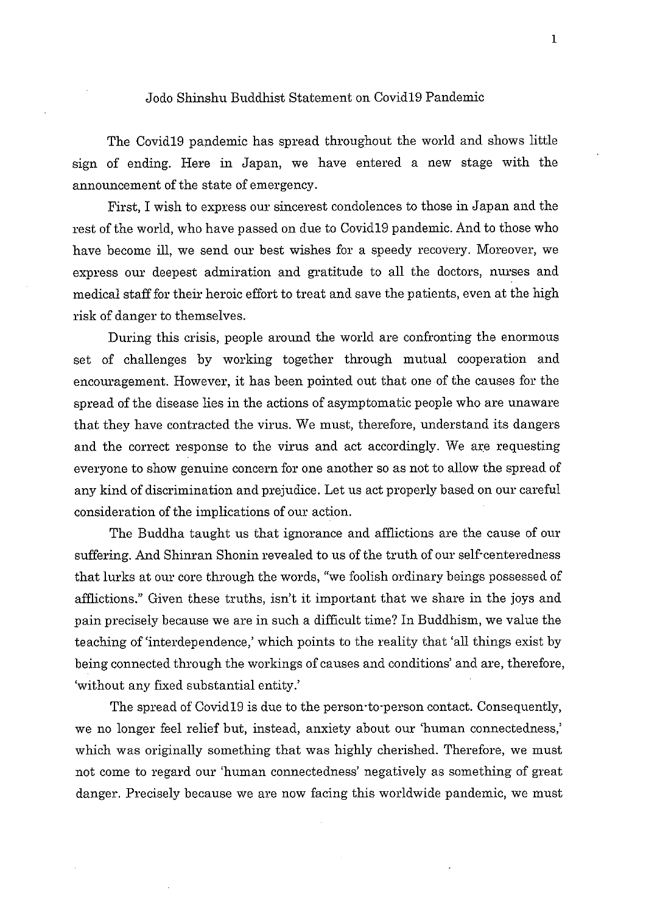#### Jodo Shinshu Buddhist Statement on Covid 19 Pandemic

The Covid19 pandemic has spread throughout the world and shows little sign of ending. Here in Japan, we have entered a new stage with the announcement of the state of emergency.

First, I wish to express our sincerest condolences to those in Japan and the rest of the world, who have passed on due to Covid 19 pandemic. And to those who have become ill, we send our best wishes for a speedy recovery. Moreover, we express our deepest admiration and gratitude to all the doctors, nurses and medical staff for their heroic effort to treat and save the patients, even at the high risk of danger to themselves.

During this crisis, people around the world are confronting the enormous set of challenges by working together through mutual cooperation and encouragement. However, it has been pointed out that one of the causes for the spread of the disease lies in the actions of asymptomatic people who are unaware that they have contracted the virus. We must, therefore, understand its dangers and the correct response to the virus and act accordingly. We are requesting everyone to show genuine concern for one another so as not to allow the spread of any kind of discrimination and prejudice. Let us act properly based on our careful consideration of the implications of our action.

The Buddha taught us that ignorance and afflictions are the cause of our suffering. And Shinran Shonin revealed to us of the truth of our self-centeredness that lurks at our core through the words, "we foolish ordinary beings possessed of afflictions." Given these truths, isn't it important that we share in the joys and pain precisely because we are in such a difficult time? In Buddhism, we value the teaching of 'interdependence,' which points to the reality that 'all things exist by being connected through the workings of causes and conditions' and are, therefore, 'without any fixed substantial entity.'

The spread of Covid19 is due to the person-to-person contact. Consequently, we no longer feel relief but, instead, anxiety about our 'human connectedness,' which was originally something that was highly cherished. Therefore, we must not come to regard our 'human connectedness' negatively as something of great danger. Precisely because we are now facing this worldwide pandemic, we must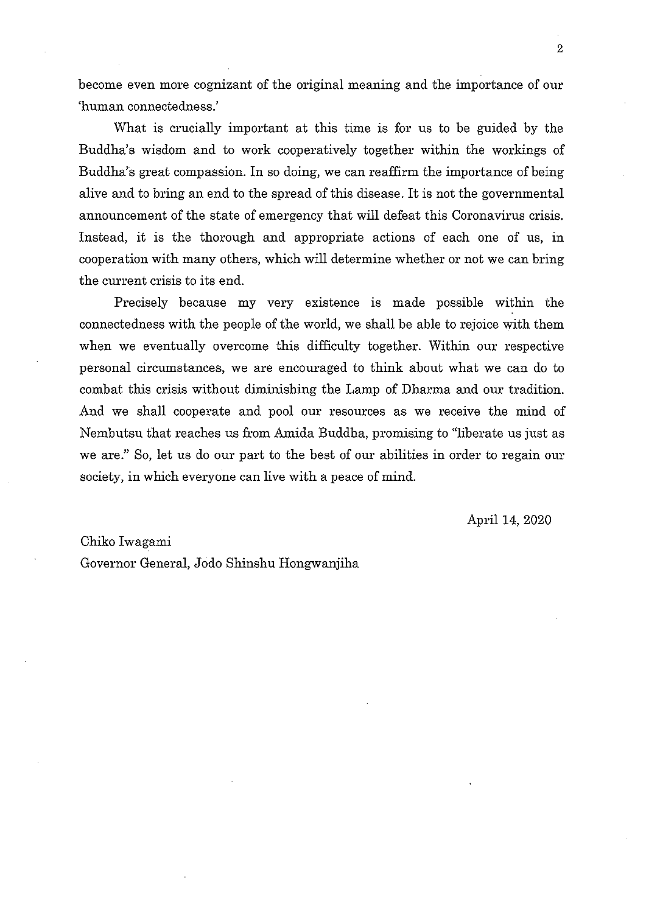become even more cognizant of the original meaning and the importance of our 'human connectedness.'

What is crucially important at this time is for us to be guided by the Buddha's wisdom and to work cooperatively together within the workings of Buddha's great compassion. In so doing, we can reaffirm the importance of being alive and to bring an end to the spread of this disease. It is not the governmental announcement of the state of emergency that will defeat this Coronavirus crisis. Instead, it is the thorough and appropriate actions of each one of us, in cooperation with many others, which will determine whether or not we can bring the current crisis to its end.

Precisely because my very existence is made possible within the connectedness with the people of the world, we shall be able to rejoice with them when we eventually overcome this difficulty together. Within our respective personal circumstances, we are encouraged to think about what we can do to combat this crisis without diminishing the Lamp of Dharma and our tradition. And we shall cooperate and pool our resources as we receive the mind of Nembutsu that reaches us from Amida Buddha, promising to "liberate us just as we are." So, let us do our part to the best of our abilities in order to regain our society, in which everyone can live with a peace of mind.

April 14, 2020

#### Chiko Iwagami

Governor General, Jodo Shinshu Hongwanjiha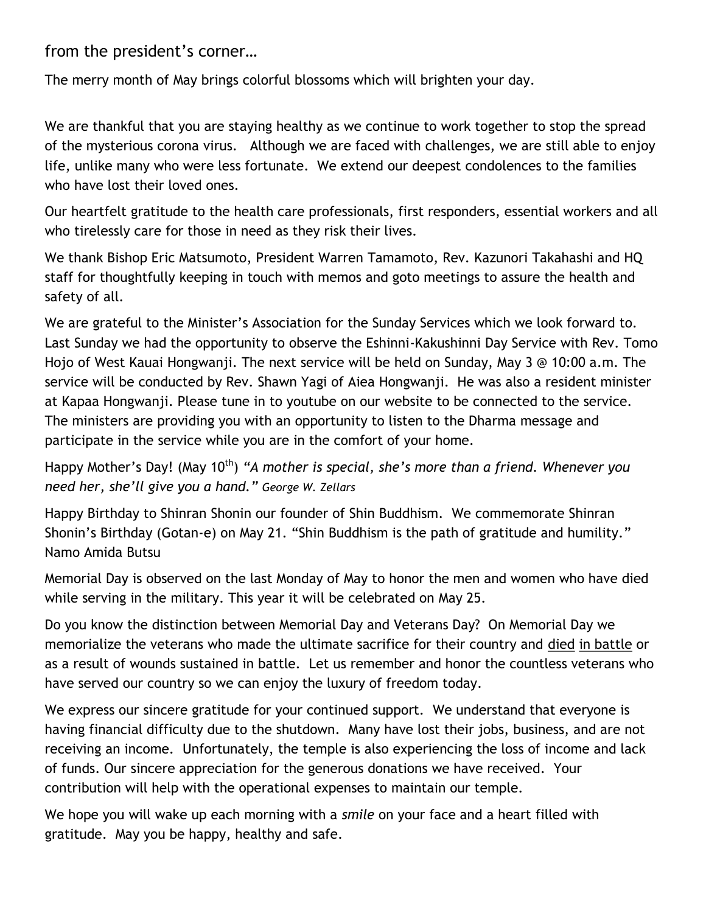from the president's corner…

The merry month of May brings colorful blossoms which will brighten your day.

We are thankful that you are staying healthy as we continue to work together to stop the spread of the mysterious corona virus. Although we are faced with challenges, we are still able to enjoy life, unlike many who were less fortunate. We extend our deepest condolences to the families who have lost their loved ones.

Our heartfelt gratitude to the health care professionals, first responders, essential workers and all who tirelessly care for those in need as they risk their lives.

We thank Bishop Eric Matsumoto, President Warren Tamamoto, Rev. Kazunori Takahashi and HQ staff for thoughtfully keeping in touch with memos and goto meetings to assure the health and safety of all.

We are grateful to the Minister's Association for the Sunday Services which we look forward to. Last Sunday we had the opportunity to observe the Eshinni-Kakushinni Day Service with Rev. Tomo Hojo of West Kauai Hongwanji. The next service will be held on Sunday, May 3 @ 10:00 a.m. The service will be conducted by Rev. Shawn Yagi of Aiea Hongwanji. He was also a resident minister at Kapaa Hongwanji. Please tune in to youtube on our website to be connected to the service. The ministers are providing you with an opportunity to listen to the Dharma message and participate in the service while you are in the comfort of your home.

Happy Mother's Day! (May 10<sup>th</sup>) "A mother is special, she's more than a friend. Whenever you *need her, she'll give you a hand." George W. Zellars* 

Happy Birthday to Shinran Shonin our founder of Shin Buddhism. We commemorate Shinran Shonin's Birthday (Gotan-e) on May 21. "Shin Buddhism is the path of gratitude and humility." Namo Amida Butsu

Memorial Day is observed on the last Monday of May to honor the men and women who have died while serving in the military. This year it will be celebrated on May 25.

Do you know the distinction between Memorial Day and Veterans Day? On Memorial Day we memorialize the veterans who made the ultimate sacrifice for their country and died in battle or as a result of wounds sustained in battle. Let us remember and honor the countless veterans who have served our country so we can enjoy the luxury of freedom today.

We express our sincere gratitude for your continued support. We understand that everyone is having financial difficulty due to the shutdown. Many have lost their jobs, business, and are not receiving an income. Unfortunately, the temple is also experiencing the loss of income and lack of funds. Our sincere appreciation for the generous donations we have received. Your contribution will help with the operational expenses to maintain our temple.

We hope you will wake up each morning with a *smile* on your face and a heart filled with gratitude. May you be happy, healthy and safe.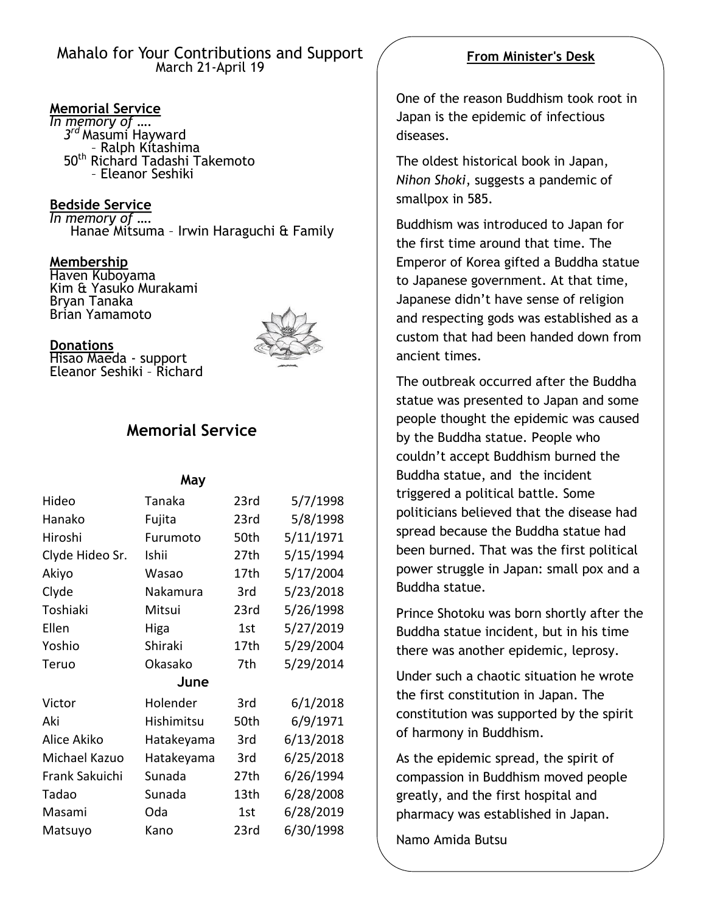## Mahalo for Your Contributions and Support March 21-April 19

### **Memorial Service**

*In memory of …. 3 rd* Masumi Hayward – Ralph Kitashima 50th Richard Tadashi Takemoto – Eleanor Seshiki

**Bedside Service** *In memory of ….* Hanae Mitsuma – Irwin Haraguchi & Family

**Membership** Haven Kuboyama Kim & Yasuko Murakami Bryan Tanaka Brian Yamamoto



#### **Donations**

Hisao Maeda - support Eleanor Seshiki – Richard

# **Memorial Service**

#### **May**

| Hideo           | Tanaka     | 23rd | 5/7/1998  |
|-----------------|------------|------|-----------|
| Hanako          | Fujita     | 23rd | 5/8/1998  |
| Hiroshi         | Furumoto   | 50th | 5/11/1971 |
| Clyde Hideo Sr. | Ishii      | 27th | 5/15/1994 |
| Akiyo           | Wasao      | 17th | 5/17/2004 |
| Clyde           | Nakamura   | 3rd  | 5/23/2018 |
| Toshiaki        | Mitsui     | 23rd | 5/26/1998 |
| Ellen           | Higa       | 1st  | 5/27/2019 |
| Yoshio          | Shiraki    | 17th | 5/29/2004 |
| Teruo           | Okasako    | 7th  | 5/29/2014 |
| June            |            |      |           |
| Victor          | Holender   | 3rd  | 6/1/2018  |
| Aki             | Hishimitsu | 50th | 6/9/1971  |
| Alice Akiko     | Hatakeyama | 3rd  | 6/13/2018 |
| Michael Kazuo   | Hatakeyama | 3rd  | 6/25/2018 |
| Frank Sakuichi  | Sunada     | 27th | 6/26/1994 |
| Tadao           | Sunada     | 13th | 6/28/2008 |
| Masami          | Oda        | 1st  | 6/28/2019 |
| Matsuyo         | Kano       | 23rd | 6/30/1998 |

# **From Minister's Desk**

One of the reason Buddhism took root in Japan is the epidemic of infectious diseases.

The oldest historical book in Japan, *Nihon Shoki*, suggests a pandemic of smallpox in 585.

Buddhism was introduced to Japan for the first time around that time. The Emperor of Korea gifted a Buddha statue to Japanese government. At that time, Japanese didn't have sense of religion and respecting gods was established as a custom that had been handed down from ancient times.

The outbreak occurred after the Buddha statue was presented to Japan and some people thought the epidemic was caused by the Buddha statue. People who couldn't accept Buddhism burned the Buddha statue, and the incident triggered a political battle. Some politicians believed that the disease had spread because the Buddha statue had been burned. That was the first political power struggle in Japan: small pox and a Buddha statue.

Prince Shotoku was born shortly after the Buddha statue incident, but in his time there was another epidemic, leprosy.

Under such a chaotic situation he wrote the first constitution in Japan. The constitution was supported by the spirit of harmony in Buddhism.

As the epidemic spread, the spirit of compassion in Buddhism moved people greatly, and the first hospital and pharmacy was established in Japan.

Namo Amida Butsu